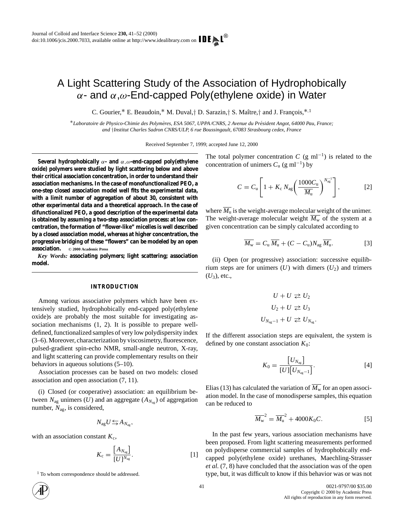# A Light Scattering Study of the Association of Hydrophobically α- and α,ω-End-capped Poly(ethylene oxide) in Water

C. Gourier,<sup>\*</sup> E. Beaudoin,<sup>\*</sup> M. Duval,† D. Sarazin,† S. Maître,† and J. François,<sup>\*,1</sup>

∗*Laboratoire de Physico-Chimie des Polymeres, ESA 5067, UPPA /CNRS, 2 Avenue du Pr ` esident Angot, 64000 Pau, France; ´ and* †*Institut Charles Sadron CNRS/ULP, 6 rue Boussingault, 67083 Strasbourg cedex, France*

Received September 7, 1999; accepted June 12, 2000

**Several hydrophobically** α**- and** α,ω**-end-capped poly(ethylene oxide) polymers were studied by light scattering below and above their critical association concentration, in order to understand their association mechanisms. In the case of monofunctionalized PEO, a one-step closed association model well fits the experimental data, with a limit number of aggregation of about 30, consistent with other experimental data and a theoretical approach. In the case of difunctionalized PEO, a good description of the experimental data is obtained by assuming a two-step association process: at low concentration, the formation of "flower-like" micelles is well described by a closed association model, whereas at higher concentration, the progressive bridging of these "flowers" can be modeled by an open association.** °**<sup>C</sup> 2000 Academic Press**

*Key Words:* **associating polymers; light scattering; association model.**

#### **INTRODUCTION**

Among various associative polymers which have been extensively studied, hydrophobically end-capped poly(ethylene oxide)s are probably the most suitable for investigating association mechanisms (1, 2). It is possible to prepare welldefined, functionalized samples of very low polydispersity index (3–6). Moreover, characterization by viscosimetry, fluorescence, pulsed-gradient spin-echo NMR, small-angle neutron, X-ray, and light scattering can provide complementary results on their behaviors in aqueous solutions (5–10).

Association processes can be based on two models: closed association and open association (7, 11).

(i) Closed (or cooperative) association: an equilibrium between  $N_{\text{ag}}$  unimers (*U*) and an aggregate ( $A_{N_{\text{ag}}}$ ) of aggregation number, *N*ag, is considered,

$$
N_{\text{ag}}U \leftrightarrows A_{N_{\text{ag}}},
$$

with an association constant  $K_c$ ,

$$
K_{\rm c} = \frac{\left[A_{N_{\rm ag}}\right]}{\left[U\right]^{N_{\rm ag}}}.\tag{1}
$$

<sup>1</sup> To whom correspondence should be addressed.



The total polymer concentration *C* (g ml<sup>-1</sup>) is related to the concentration of unimers  $C_u$  (g ml<sup>-1</sup>) by

$$
C = C_{\mathrm{u}} \left[ 1 + K_{\mathrm{c}} N_{\mathrm{ag}} \left( \frac{1000 C_{\mathrm{u}}}{\overline{M_{\mathrm{u}}}} \right)^{N_{\mathrm{ag}}^{-1}} \right],\tag{2}
$$

where  $\overline{M_{\rm u}}$  is the weight-average molecular weight of the unimer. The weight-average molecular weight  $\overline{M_{\rm w}}$  of the system at a given concentration can be simply calculated according to

$$
\overline{M_{\rm w}} = C_{\rm u} \, \overline{M_{\rm u}} + (C - C_{\rm u}) N_{\rm ag} \, \overline{M_{\rm u}}.
$$

(ii) Open (or progressive) association: successive equilibrium steps are for unimers  $(U)$  with dimers  $(U_2)$  and trimers  $(U_3)$ , etc.,

$$
U + U \ge U_2
$$
  

$$
U_2 + U \ge U_3
$$
  

$$
U_{N_{ag}-1} + U \ge U_{N_{ag}}.
$$

If the different association steps are equivalent, the system is defined by one constant association  $K_0$ :

$$
K_0 = \frac{\begin{bmatrix} U_{N_{\text{ag}}} \end{bmatrix}}{\begin{bmatrix} U \end{bmatrix} \begin{bmatrix} U_{N_{\text{ag}}-1} \end{bmatrix}}.
$$
 [4]

Elias (13) has calculated the variation of  $\overline{M_{\rm w}}$  for an open association model. In the case of monodisperse samples, this equation can be reduced to

$$
\overline{M_{w}}^{2} = \overline{M_{u}}^{2} + 4000 K_{0} C.
$$
 [5]

In the past few years, various association mechanisms have been proposed. From light scattering measurements performed on polydisperse commercial samples of hydrophobically endcapped poly(ethylene oxide) urethanes, Maechling-Strasser *et al*. (7, 8) have concluded that the association was of the open type, but, it was difficult to know if this behavior was or was not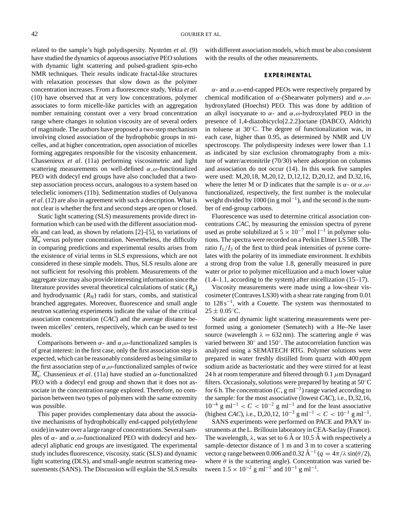related to the sample's high polydispersity. Nyström et al. (9) have studied the dynamics of aqueous associative PEO solutions with dynamic light scattering and pulsed-gradient spin-echo NMR techniques. Their results indicate fractal-like structures with relaxation processes that slow down as the polymer concentration increases. From a fluorescence study, Yekta *et al*. (10) have observed that at very low concentrations, polymer associates to form micelle-like particles with an aggregation number remaining constant over a very broad concentration range where changes in solution viscosity are of several orders of magnitude. The authors have proposed a two-step mechanism involving closed association of the hydrophobic groups in micelles, and at higher concentration, open association of micelles forming aggregates responsible for the viscosity enhancement. Chassenieux *et al*. (11a) performing viscosimetric and light scattering measurements on well-defined  $\alpha, \omega$ -functionalized PEO with dodecyl end groups have also concluded that a twostep association process occurs, analogous to a system based on telechelic ionomers (11b). Sedimentation studies of Oulyanova *et al*. (12) are also in agreement with such a description. What is not clear is whether the first and second steps are open or closed.

Static light scattering (SLS) measurements provide direct information which can be used with the different association models and can lead, as shown by relations [2]–[5], to variations of  $\overline{M_{\rm w}}$  versus polymer concentration. Nevertheless, the difficulty in comparing predictions and experimental results arises from the existence of virial terms in SLS expressions, which are not considered in these simple models. Thus, SLS results alone are not sufficient for resolving this problem. Measurements of the aggregate size may also provide interesting information since the literature provides several theoretical calculations of static  $(R<sub>g</sub>)$ and hydrodynamic  $(R<sub>H</sub>)$  radii for stars, combs, and statistical branched aggregates. Moreover, fluorescence and small angle neutron scattering experiments indicate the value of the critical association concentration (*CAC*) and the average distance between micelles' centers, respectively, which can be used to test models.

Comparisons between  $\alpha$ - and  $\alpha, \omega$ -functionalized samples is of great interest: in the first case, only the first association step is expected, which can be reasonably considered as being similar to the first association step of  $\alpha, \omega$ -functionalized samples of twice  $\overline{M_{\rm u}}$ . Chassenieux *et al.* (11a) have studied an  $\alpha$ -functionalized PEO with a dodecyl end group and shown that it does not associate in the concentration range explored. Therefore, no comparison between two types of polymers with the same extremity was possible.

This paper provides complementary data about the associative mechanisms of hydrophobically end-capped poly(ethylene oxide) in water over a large range of concentrations. Several samples of  $\alpha$ - and  $\alpha$ ,  $\omega$ -functionalized PEO with dodecyl and hexadecyl aliphatic end groups are investigated. The experimental study includes fluorescence, viscosity, static (SLS) and dynamic light scattering (DLS), and small-angle neutron scattering measurements (SANS). The Discussion will explain the SLS results

with different association models, which must be also consistent with the results of the other measurements.

## **EXPERIMENTAL**

 $\alpha$ - and  $\alpha$ ,  $\omega$ -end-capped PEOs were respectively prepared by chemical modification of  $\alpha$ -(Shearwater polymers) and  $\alpha, \omega$ hydroxylated (Hoechst) PEO. This was done by addition of an alkyl isocyanate to  $\alpha$ - and  $\alpha, \omega$ -hydroxylated PEO in the presence of 1,4-diazobicyclo[2.2.2]octane (DABCO, Aldrich) in toluene at 30◦C. The degree of functionalization was, in each case, higher than 0.95, as determined by NMR and UV spectroscopy. The polydispersity indexes were lower than 1.1 as indicated by size exclusion chromatography from a mixture of water/acetonitrile (70/30) where adsorption on columns and association do not occur (14). In this work five samples were used: M,20,18, M,20,12, D,12,12, D,20,12, and D,32,16, where the letter M or D indicates that the sample is  $\alpha$ - or  $\alpha, \omega$ functionalized, respectively, the first number is the molecular weight divided by 1000 (in g mol<sup>-1</sup>), and the second is the number of end-group carbons.

Fluorescence was used to determine critical association concentrations *CAC*, by measuring the emission spectra of pyrene used as probe solubilized at  $5 \times 10^{-7}$  mol l<sup>-1</sup> in polymer solutions. The spectra were recorded on a Perkin Elmer LS 50B. The ratio  $I_1/I_3$  of the first to third peak intensities of pyrene correlates with the polarity of its immediate environment. It exhibits a strong drop from the value 1.8, generally measured in pure water or prior to polymer micellization and a much lower value (1.4–1.1, according to the system) after micellization (15–17).

Viscosity measurements were made using a low-shear viscosimeter (Contraves LS30) with a shear rate ranging from 0.01 to  $128 s^{-1}$ , with a Couette. The system was thermostated to  $25 \pm 0.05$ °C.

Static and dynamic light scattering measurements were performed using a goniometer (Sematech) with a He–Ne laser source (wavelength  $\lambda = 632$  nm). The scattering angle  $\theta$  was varied between  $30°$  and  $150°$ . The autocorrelation function was analyzed using a SEMATECH RTG. Polymer solutions were prepared in water freshly distilled from quartz with 400 ppm sodium azide as bacteriostatic and they were stirred for at least 24 h at room temperature and filtered through 0.1  $\mu$ m Dynagard filters. Occasionaly, solutions were prepared by heating at 50◦C for 6 h. The concentration  $(C, g \text{ ml}^{-1})$  range varied according to the sample: for the most associative (lowest *CAC*), i.e., D,32,16,  $10^{-4}$  g ml<sup>-1</sup> <  $C$  <  $10^{-2}$  g ml<sup>-1</sup> and for the least associative (highest *CAC*), i.e., D,20,12,  $10^{-3}$  g ml<sup>-1</sup> < *C* <  $10^{-1}$  g ml<sup>-1</sup>.

SANS experiments were performed on PACE and PAXY instruments at the L. Brillouin laboratory in CEA-Saclay (France). The wavelength,  $\lambda$ , was set to 6 Å or 10.5 Å with respectively a sample–detector distance of 1 m and 3 m to cover a scattering vector *q* range between 0.006 and 0.32  $\AA^{-1}$  ( $q = 4\pi/\lambda \sin(\theta/2)$ , where  $\theta$  is the scattering angle). Concentration was varied between  $1.5 \times 10^{-2}$  g ml<sup>-1</sup> and  $10^{-1}$  g ml<sup>-1</sup>.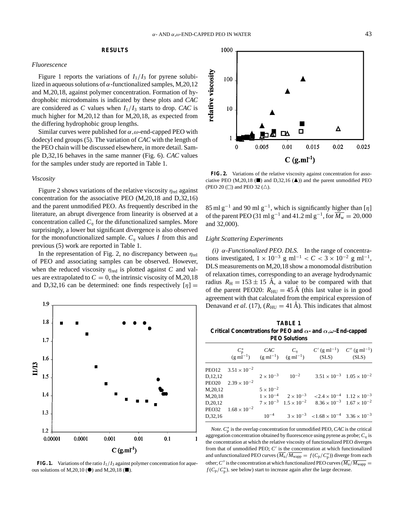## **RESULTS**

### *Fluorescence*

Figure 1 reports the variations of  $I_1/I_3$  for pyrene solubilized in aqueous solutions of  $\alpha$ -functionalized samples, M,20,12 and M,20,18, against polymer concentration. Formation of hydrophobic microdomains is indicated by these plots and *CAC* are considered as C values when  $I_1/I_3$  starts to drop. CAC is much higher for M,20,12 than for M,20,18, as expected from the differing hydrophobic group lengths.

Similar curves were published for  $\alpha, \omega$ -end-capped PEO with dodecyl end groups (5). The variation of *CAC* with the length of the PEO chain will be discussed elsewhere, in more detail. Sample D,32,16 behaves in the same manner (Fig. 6). *CAC* values for the samples under study are reported in Table 1.

#### *Viscosity*

Figure 2 shows variations of the relative viscosity  $\eta_{\text{rel}}$  against concentration for the associative PEO (M,20,18 and D,32,16) and the parent unmodified PEO. As frequently described in the literature, an abrupt divergence from linearity is observed at a concentration called  $C_n$  for the difunctionalized samples. More surprisingly, a lower but significant divergence is also observed for the monofunctionalized sample.  $C_n$  values *I* from this and previous (5) work are reported in Table 1.

In the representation of Fig. 2, no discrepancy between  $\eta_{rel}$ of PEO and associating samples can be observed. However, when the reduced viscosity  $\eta_{\text{red}}$  is plotted against *C* and values are extrapolated to  $C = 0$ , the intrinsic viscosity of M,20,18 and D,32,16 can be determined: one finds respectively  $[\eta] =$ 



**FIG. 1.** Variations of the ratio  $I_1/I_3$  against polymer concentration for aqueous solutions of M,20,10 ( $\bullet$ ) and M,20,18 ( $\blacksquare$ ).



**FIG. 2.** Variations of the relative viscosity against concentration for associative PEO (M,20,18 ( $\blacksquare$ ) and D,32,16 ( $\blacktriangle$ )) and the parent unmodified PEO (PEO 20 ( $\square$ ) and PEO 32 ( $\triangle$ ).

85 ml g<sup>-1</sup> and 90 ml g<sup>-1</sup>, which is significantly higher than [η] of the parent PEO (31 ml g<sup>-1</sup> and 41.2 ml g<sup>-1</sup>, for  $\overline{M_{\rm w}} = 20,000$ and 32,000).

#### *Light Scattering Experiments*

*(i)* α*-Functionalized PEO. DLS.* In the range of concentrations investigated,  $1 \times 10^{-3}$  g ml<sup>-1</sup> < *C* < 3 × 10<sup>-2</sup> g ml<sup>-1</sup>, DLS measurements on M,20,18 show a monomodal distribution of relaxation times, corresponding to an average hydrodynamic radius  $R_{\text{H}} = 153 \pm 15$  Å, a value to be compared with that of the parent PEO20:  $R_{\text{HU}} = 45 \text{ Å}$  (this last value is in good agreement with that calculated from the empirical expression of Denavand *et al.* (17),  $(R_{\text{HU}} = 41 \text{ Å})$ . This indicates that almost

**TABLE 1 Critical Concentrations for PEO and** *α***- and** *α,ω***-End-capped PEO Solutions**

|                                     |                                                            |                    |                              | $\begin{array}{ccc} C_{\mathfrak{p}}^* & \text{CAC} & C_{\eta} & C' \left( \mathbf{g} \text{ ml}^{-1} \right) & C'' \left( \mathbf{g} \text{ ml}^{-1} \right) \\ (\mathbf{g} \text{ ml}^{-1}) & (\mathbf{g} \text{ ml}^{-1}) & (\mathbf{g} \text{ ml}^{-1}) & (\text{SLS}) & (\text{SLS}) \end{array}$ |  |
|-------------------------------------|------------------------------------------------------------|--------------------|------------------------------|--------------------------------------------------------------------------------------------------------------------------------------------------------------------------------------------------------------------------------------------------------------------------------------------------------|--|
| D.12.12<br>M, 20, 12                | PEO12 $3.51 \times 10^{-2}$<br>PEO20 $2.39 \times 10^{-2}$ | $5 \times 10^{-2}$ | $2 \times 10^{-3}$ $10^{-2}$ | $3.51 \times 10^{-3}$ $1.05 \times 10^{-2}$                                                                                                                                                                                                                                                            |  |
| M, 20, 18<br>D, 20, 12<br>D, 32, 16 | PEO32 $1.68 \times 10^{-2}$                                |                    |                              | $1 \times 10^{-4}$ $2 \times 10^{-3}$ $\leq 2.4 \times 10^{-4}$ $1.12 \times 10^{-3}$<br>$7 \times 10^{-3}$ $1.5 \times 10^{-2}$ $8.36 \times 10^{-3}$ $1.67 \times 10^{-2}$<br>$10^{-4}$ $3 \times 10^{-3}$ $\lt 1.68 \times 10^{-4}$ $3.36 \times 10^{-3}$                                           |  |

*Note.*  $C_p^*$  is the overlap concentration for unmodified PEO, *CAC* is the critical aggregation concentration obtained by fluorescence using pyrene as probe;  $C<sub>η</sub>$  is the concentration at which the relative viscosity of functionalized PEO diverges from that of unmodified PEO;  $C'$  is the concentration at which functionalized and unfunctionalized PEO curves  $(M_u/M_{wapp} = f(C_p/C_p^*))$  diverge from each other; C'' is the concentration at which functionalized PEO curves  $(M_{\text{u}}/M_{\text{wann}})$  $f(C_p/C_p^*)$ , see below) start to increase again after the large decrease.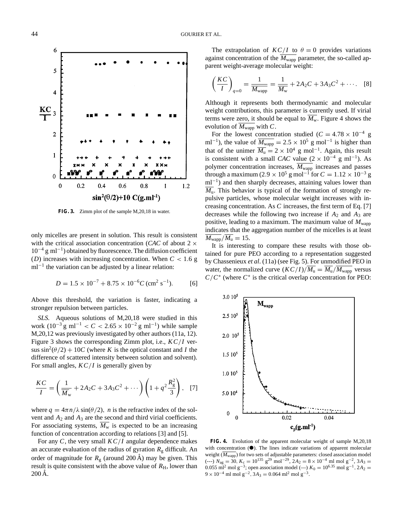6 5  $\overline{4}$  $rac{KC}{l}$  $\overline{2}$  $\mathbf{1}$  $\mathbf{0}$  $0.6$  $\theta$  $0.2$  $0.4$  $0.8$  $\mathbf{1}$  $1.2$  $\sin^2(\theta/2) + 10$  C(g.ml<sup>-1</sup>)

**FIG. 3.** Zimm plot of the sample M,20,18 in water.

only micelles are present in solution. This result is consistent with the critical association concentration (*CAC* of about 2 ×  $10^{-4}$  g ml<sup>-1</sup>) obtained by fluorescence. The diffusion coefficient (*D*) increases with increasing concentration. When *C* < 1.6 g  $ml^{-1}$  the variation can be adjusted by a linear relation:

$$
D = 1.5 \times 10^{-7} + 8.75 \times 10^{-6} C \, (\text{cm}^2 \text{ s}^{-1}).
$$
 [6]

Above this threshold, the variation is faster, indicating a stronger repulsion between particles.

*SLS.* Aqueous solutions of M,20,18 were studied in this work  $(10^{-3}$  g ml<sup>-1</sup> < *C* < 2.65 × 10<sup>-2</sup> g ml<sup>-1</sup>) while sample M,20,12 was previously investigated by other authors (11a, 12). Figure 3 shows the corresponding Zimm plot, i.e., *K C*/*I* versus  $\sin^2(\theta/2) + 10C$  (where *K* is the optical constant and *I* the difference of scattered intensity between solution and solvent). For small angles, *K C*/*I* is generally given by

$$
\frac{KC}{I} = \left(\frac{1}{\overline{M}_{w}} + 2A_{2}C + 3A_{3}C^{2} + \cdots\right)\left(1 + q^{2}\frac{R_{g}^{2}}{3}\right), \quad [7]
$$

where  $q = 4\pi n/\lambda \sin(\theta/2)$ , *n* is the refractive index of the solvent and  $A_2$  and  $A_3$  are the second and third virial coefficients. For associating systems,  $\overline{M_{\rm w}}$  is expected to be an increasing function of concentration according to relations [3] and [5].

For any *C*, the very small *K C*/*I* angular dependence makes an accurate evaluation of the radius of gyration  $R<sub>g</sub>$  difficult. An order of magnitude for  $R<sub>g</sub>$  (around 200 Å) may be given. This result is quite consistent with the above value of  $R<sub>H</sub>$ , lower than  $200 \mathrm{\AA}$ .

The extrapolation of  $KC/I$  to  $\theta = 0$  provides variations against concentration of the  $\overline{M_{\text{wapp}}}$  parameter, the so-called apparent weight-average molecular weight:

$$
\left(\frac{KC}{I}\right)_{q=0} = \frac{1}{M_{\text{wapp}}} = \frac{1}{M_{\text{w}}} + 2A_2C + 3A_3C^2 + \cdots
$$
 [8]

Although it represents both thermodynamic and molecular weight contributions, this parameter is currently used. If virial terms were zero, it should be equal to  $\overline{M_{\rm w}}$ . Figure 4 shows the evolution of  $\overline{M_{\text{wapp}}}$  with *C*.

For the lowest concentration studied ( $C = 4.78 \times 10^{-4}$  g ml<sup>-1</sup>), the value of  $\overline{M_{\text{wapp}}}$  = 2.5 × 10<sup>5</sup> g mol<sup>-1</sup> is higher than that of the unimer  $\overline{M_u} = 2 \times 10^4$  g mol<sup>-1</sup>. Again, this result is consistent with a small *CAC* value  $(2 \times 10^{-4} \text{ g m}^{-1})$ . As polymer concentration increases,  $\overline{M_{\text{wapp}}}$  increases and passes through a maximum (2.9  $\times$  10<sup>5</sup> g mol<sup>-1</sup> for  $C = 1.12 \times 10^{-3}$  g ml<sup>-1</sup>) and then sharply decreases, attaining values lower than  $\overline{M_{\rm u}}$ . This behavior is typical of the formation of strongly repulsive particles, whose molecular weight increases with increasing concentration. As *C* increases, the first term of Eq. [7] decreases while the following two increase if *A*<sup>2</sup> and *A*<sup>3</sup> are positive, leading to a maximum. The maximum value of  $M_{\text{wapp}}$ indicates that the aggregation number of the micelles is at least  $\overline{M_{\text{wapp}}}/\overline{M_{\text{u}}} = 15.$ 

It is interesting to compare these results with those obtained for pure PEO according to a representation suggested by Chassenieux *et al*. (11a) (see Fig. 5). For unmodified PEO in water, the normalized curve  $(KC/I)/\overline{M_{\rm u}} = \overline{M_{\rm u}}/\overline{M_{\rm wapp}}$  versus  $C/C^*$  (where  $C^*$  is the critical overlap concentration for PEO:



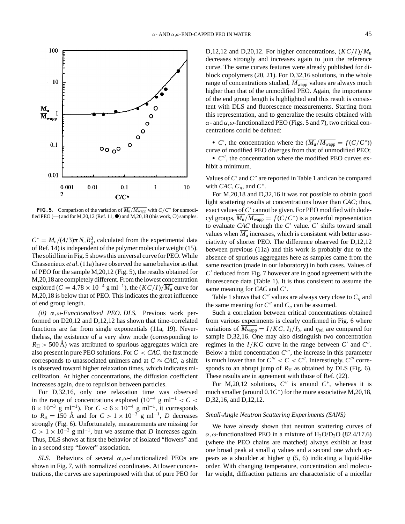

**FIG. 5.** Comparison of the variation of  $\overline{M_u}/\overline{M_{\text{wapp}}}$  with  $C/C^*$  for unmodified PEO (—) and for M, 20, 12 (Ref. 11,  $\bullet$ ) and M, 20, 18 (this work,  $\circ$ ) samples.

 $C^* = \overline{M_u}/(4/3)\pi N_a R_g^3$ , calculated from the experimental data of Ref. 14) is independent of the polymer molecular weight (15). The solid line in Fig. 5 shows this universal curve for PEO. While Chassenieux *et al*. (11a) have observed the same behavior as that of PEO for the sample M,20,12 (Fig. 5), the results obtained for M,20,18 are completely different. From the lowest concentration explored ( $C = 4.78 \times 10^{-4}$  g ml<sup>-1</sup>), the  $(KC/I)/\overline{M_u}$  curve for M,20,18 is below that of PEO. This indicates the great influence of end group length.

*(ii)* α,ω*-Functionalized PEO. DLS.* Previous work performed on D20,12 and D,12,12 has shown that time-correlated functions are far from single exponentials (11a, 19). Nevertheless, the existence of a very slow mode (corresponding to  $R_{\rm H}$  > 500 Å) was attributed to spurious aggregates which are also present in pure PEO solutions. For  $C < CAC$ , the fast mode corresponds to unassociated unimers and at  $C \approx CAC$ , a shift is observed toward higher relaxation times, which indicates micellization. At higher concentrations, the diffusion coefficient increases again, due to repulsion between particles.

For D,32,16, only one relaxation time was observed in the range of concentrations explored ( $10^{-4}$  g ml<sup>-1</sup> < *C* <  $8 \times 10^{-3}$  g ml<sup>-1</sup>). For  $C < 6 \times 10^{-4}$  g ml<sup>-1</sup>, it corresponds to  $R_H = 150$  Å and for  $C > 1 \times 10^{-3}$  g ml<sup>-1</sup>, *D* decreases strongly (Fig. 6). Unfortunately, measurements are missing for  $C > 1 \times 10^{-2}$  g ml<sup>-1</sup>, but we assume that *D* increases again. Thus, DLS shows at first the behavior of isolated "flowers" and in a second step "flower" association.

*SLS.* Behaviors of several  $\alpha$ ,  $\omega$ -functionalized PEOs are shown in Fig. 7, with normalized coordinates. At lower concentrations, the curves are superimposed with that of pure PEO for D,12,12 and D,20,12. For higher concentrations,  $(KC/I)/M_{\rm u}$ decreases strongly and increases again to join the reference curve. The same curves features were already published for diblock copolymers (20, 21). For D,32,16 solutions, in the whole range of concentrations studied,  $M_{\text{wapp}}$  values are always much higher than that of the unmodified PEO. Again, the importance of the end group length is highlighted and this result is consistent with DLS and fluorescence measurements. Starting from this representation, and to generalize the results obtained with  $\alpha$ - and  $\alpha$ , $\omega$ -functionalized PEO (Figs. 5 and 7), two critical concentrations could be defined:

• *C'*, the concentration where the  $(M_u/M_{wapp} = f(C/C^*))$ curve of modified PEO diverges from that of unmodified PEO;

• *C*<sup> $\prime\prime$ </sup>, the concentration where the modified PEO curves exhibit a minimum.

Values of *C'* and *C''* are reported in Table 1 and can be compared with *CAC*,  $C_n$ , and  $C^*$ .

For M,20,18 and D,32,16 it was not possible to obtain good light scattering results at concentrations lower than *CAC*; thus, exact values of  $C'$  cannot be given. For PEO modified with dodecyl groups,  $M_u/M_{wapp} = f(C/C^*)$  is a powerful representation to evaluate *CAC* through the  $C'$  value.  $C'$  shifts toward small values when  $\overline{M}_{\text{u}}$  increases, which is consistent with better associativity of shorter PEO. The difference observed for D,12,12 between previous (11a) and this work is probably due to the absence of spurious aggregates here as samples came from the same reaction (made in our laboratory) in both cases. Values of  $C<sup>′</sup>$  deduced from Fig. 7 however are in good agreement with the fluorescence data (Table 1). It is thus consistent to assume the same meaning for *CAC* and *C'*.

Table 1 shows that  $C''$  values are always very close to  $C_n$  and the same meaning for  $C''$  and  $C_n$  can be assumed.

Such a correlation between critical concentrations obtained from various experiments is clearly confirmed in Fig. 6 where variations of  $\overline{M_{\text{wapp}}} = I/KC$ ,  $I_1/I_3$ , and  $\eta_{\text{rel}}$  are compared for sample D,32,16. One may also distinguish two concentration regimes in the  $I/KC$  curve in the range between  $C'$  and  $C''$ . Below a third concentration  $C^{\prime\prime\prime}$ , the increase in this parameter is much lower than for  $C''' < C < C''$ . Interestingly,  $C'''$  corresponds to an abrupt jump of  $R_H$  as obtained by DLS (Fig. 6). These results are in agreement with those of Ref. (22).

For M,20,12 solutions,  $C''$  is around  $C^*$ , whereas it is much smaller (around 0.1*C*∗) for the more associative M,20,18, D,32,16, and D,12,12.

#### *Small-Angle Neutron Scattering Experiments (SANS)*

We have already shown that neutron scattering curves of  $\alpha$ , $\omega$ -functionalized PEO in a mixture of H<sub>2</sub>O/D<sub>2</sub>O (82.4/17.6) (where the PEO chains are matched) always exhibit at least one broad peak at small *q* values and a second one which appears as a shoulder at higher *q* (5, 6) indicating a liquid-like order. With changing temperature, concentration and molecular weight, diffraction patterns are characteristic of a micellar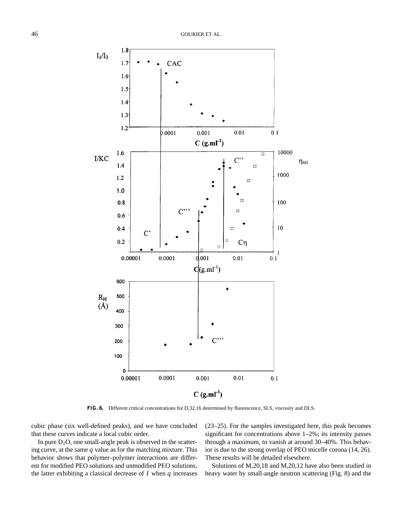

**FIG. 6.** Different critical concentrations for D,32,16 determined by fluorescence, SLS, viscosity and DLS.

cubic phase (six well-defined peaks), and we have concluded that these curves indicate a local cubic order.

In pure  $D_2O$ , one small-angle peak is observed in the scattering curve, at the same *q* value as for the matching mixture. This behavior shows that polymer–polymer interactions are different for modified PEO solutions and unmodified PEO solutions, the latter exhibiting a classical decrease of *I* when *q* increases (23–25). For the samples investigated here, this peak becomes significant for concentrations above 1–2%; its intensity passes through a maximum, to vanish at around 30–40%. This behavior is due to the strong overlap of PEO micelle corona (14, 26). These results will be detailed elsewhere.

Solutions of M,20,18 and M,20,12 have also been studied in heavy water by small-angle neutron scattering (Fig. 8) and the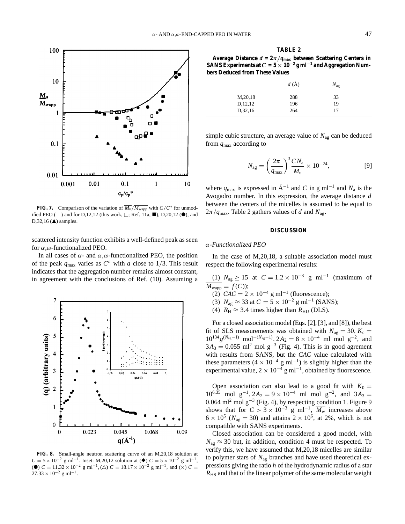

**FIG. 7.** Comparison of the variation of  $\overline{M_u}/\overline{M_{\text{wapp}}}$  with  $C/C^*$  for unmodified PEO ( $\rightarrow$ ) and for D,12,12 (this work,  $\Box$ ; Ref. 11a,  $\blacksquare$ ), D,20,12 ( $\spadesuit$ ), and  $D, 32, 16$  ( $\triangle$ ) samples.

scattered intensity function exhibits a well-defined peak as seen for α,ω-functionalized PEO.

In all cases of  $\alpha$ - and  $\alpha, \omega$ -functionalized PEO, the position of the peak  $q_{\text{max}}$  varies as  $C^a$  with *a* close to 1/3. This result indicates that the aggregation number remains almost constant, in agreement with the conclusions of Ref. (10). Assuming a



**FIG. 8.** Small-angle neutron scattering curve of an M,20,18 solution at  $C = 5 \times 10^{-2}$  g ml<sup>-1</sup>. Inset: M,20,12 solution at ( $\blacklozenge$ )  $C = 5 \times 10^{-2}$  g ml<sup>-1</sup>, (●)  $C = 11.32 \times 10^{-2}$  g ml<sup>-1</sup>, ( $\triangle$ )  $C = 18.17 \times 10^{-2}$  g ml<sup>-1</sup>, and ( $\times$ )  $C =$  $27.33 \times 10^{-2}$  g ml<sup>-1</sup>.

| Average Distance $d = 2\pi/q_{\text{max}}$ between Scattering Centers in           |
|------------------------------------------------------------------------------------|
| SANS Experiments at $C = 5 \times 10^{-2}$ g ml <sup>-1</sup> and Aggregation Num- |
| bers Deduced from These Values                                                     |

|           | $d\left(\AA\right)$ | $N_{\rm ag}$ |  |
|-----------|---------------------|--------------|--|
| M, 20, 18 | 288                 | 33           |  |
| D,12,12   | 196                 | 19           |  |
| D,32,16   | 264                 | 17           |  |

simple cubic structure, an average value of *N*ag can be deduced from *q*max according to

$$
N_{\rm ag} = \left(\frac{2\pi}{q_{\rm max}}\right)^3 \frac{CN_{\rm a}}{\overline{M_{\rm u}}} \times 10^{-24},\tag{9}
$$

where  $q_{\text{max}}$  is expressed in  $A^{-1}$  and *C* in g ml<sup>-1</sup> and  $N_a$  is the Avogadro number. In this expression, the average distance *d* between the centers of the micelles is assumed to be equal to  $2\pi/q_{\text{max}}$ . Table 2 gathers values of *d* and  $N_{\text{ag}}$ .

### **DISCUSSION**

### α*-Functionalized PEO*

In the case of M,20,18, a suitable association model must respect the following experimental results:

(1)  $N_{\text{ag}} \ge 15$  at  $C = 1.2 \times 10^{-3}$  g ml<sup>-1</sup> (maximum of  $\overline{M_{\text{wapp}}} = f(C);$ 

- (2)  $CAC = 2 \times 10^{-4}$  g ml<sup>-1</sup> (fluorescence);
- (3)  $N_{\text{ag}} \approx 33$  at  $C = 5 \times 10^{-2}$  g ml<sup>-1</sup> (SANS);
- (4)  $R_H \approx 3.4$  times higher than  $R_{HU}$  (DLS).

For a closed association model (Eqs. [2], [3], and [8]), the best fit of SLS measurements was obtained with  $N_{\text{ag}} = 30, K_{\text{c}} =$  $10^{134}g^{(N_{\text{ag}}-1)}$  mol<sup>-( $N_{\text{ag}}-1$ ),  $2A_2 = 8 \times 10^{-4}$  ml mol g<sup>-2</sup>, and</sup>  $3A_3 = 0.055$  ml<sup>2</sup> mol g<sup>-3</sup> (Fig. 4). This is in good agrement with results from SANS, but the *CAC* value calculated with these parameters (4 × 10<sup>-4</sup> g ml<sup>-1</sup>) is slightly higher than the experimental value,  $2 \times 10^{-4}$  g ml<sup>-1</sup>, obtained by fluorescence.

Open association can also lead to a good fit with  $K_0 =$  $10^{6.35}$  mol g<sup>-1</sup>,  $2A_2 = 9 \times 10^{-4}$  ml mol g<sup>-2</sup>, and  $3A_3 =$ 0.064 ml<sup>2</sup> mol g−<sup>3</sup> (Fig. 4), by respecting condition 1. Figure 9 shows that for  $C > 3 \times 10^{-3}$  g ml<sup>-1</sup>,  $\overline{M_w}$  increases above  $6 \times 10^5$  ( $N_{\text{ag}} = 30$ ) and attains  $2 \times 10^6$ , at 2%, which is not compatible with SANS experiments.

Closed association can be considered a good model, with  $N_{\text{ae}} \approx 30$  but, in addition, condition 4 must be respected. To verify this, we have assumed that M,20,18 micelles are similar to polymer stars of *N*ag branches and have used theoretical expressions giving the ratio *h* of the hydrodynamic radius of a star  $R_{\text{HS}}$  and that of the linear polymer of the same molecular weight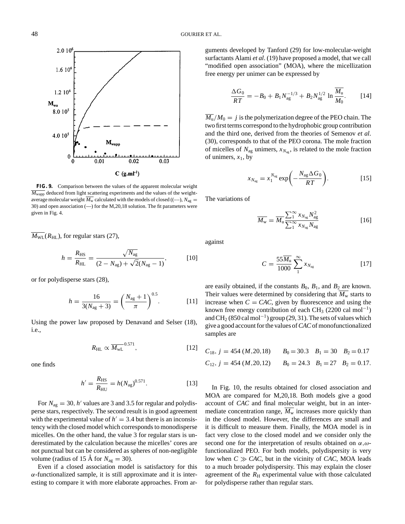

**FIG. 9.** Comparison between the values of the apparent molecular weight  $\overline{M_{\text{wann}}}$  deduced from light scattering experiments and the values of the weightaverage molecular weight  $\overline{M_{\rm w}}$  calculated with the models of closed ((-–),  $N_{\rm ag}$  = 30) and open association (—) for the M,20,18 solution. The fit parameters were given in Fig. 4.

 $\overline{M_{\text{WL}}}(R_{\text{HL}})$ , for regular stars (27),

$$
h = \frac{R_{\rm HS}}{R_{\rm HL}} = \frac{\sqrt{N_{\rm ag}}}{(2 - N_{\rm ag}) + \sqrt{2}(N_{\rm ag} - 1)},
$$
 [10]

or for polydisperse stars (28),

$$
h = \frac{16}{3(N_{\text{ag}} + 3)} = \left(\frac{N_{\text{ag}} + 1}{\pi}\right)^{0.5}.
$$
 [11]

Using the power law proposed by Denavand and Selser (18), i.e.,

$$
R_{\rm HL} \propto \overline{M_{\rm WL}}^{0.571},\tag{12}
$$

one finds

$$
h' = \frac{R_{\rm HS}}{R_{\rm HU}} = h(N_{\rm ag})^{0.571}.
$$
 [13]

For  $N_{\text{ag}} = 30$ , *h'* values are 3 and 3.5 for regular and polydisperse stars, respectively. The second result is in good agreement with the experimental value of  $h' = 3.4$  but there is an inconsistency with the closed model which corresponds to monodisperse micelles. On the other hand, the value 3 for regular stars is underestimated by the calculation because the micelles' cores are not punctual but can be considered as spheres of non-negligible volume (radius of 15 Å for  $N_{\text{ag}} = 30$ ).

Even if a closed association model is satisfactory for this  $\alpha$ -functionalized sample, it is still approximate and it is interesting to compare it with more elaborate approaches. From arguments developed by Tanford (29) for low-molecular-weight surfactants Alami *et al*. (19) have proposed a model, that we call "modified open association" (MOA), where the micellization free energy per unimer can be expressed by

$$
\frac{\Delta G_0}{RT} = -B_0 + B_1 N_{\text{ag}}^{-1/3} + B_2 N_{\text{ag}}^{1/2} \ln \frac{\overline{M_u}}{M_0}.
$$
 [14]

 $\overline{M_{\rm u}}/M_0 = j$  is the polymerization degree of the PEO chain. The two first terms correspond to the hydrophobic group contribution and the third one, derived from the theories of Semenov *et al*. (30), corresponds to that of the PEO corona. The mole fraction of micelles of  $N_{\text{ag}}$  unimers,  $x_{N_{\text{ag}}}$ , is related to the mole fraction of unimers,  $x_1$ , by

$$
x_{N_{\text{ag}}} = x_1^{N_{\text{ag}}} \exp\bigg(-\frac{N_{\text{ag}}\Delta G_0}{RT}\bigg). \tag{15}
$$

The variations of

$$
\overline{M_{\rm w}} = \overline{M_{\rm u}} \frac{\sum_{1}^{\infty} x_{N_{\rm ag}} N_{\rm ag}^2}{\sum_{1}^{\infty} x_{N_{\rm ag}} N_{\rm ag}}
$$
\n[16]

against

$$
C = \frac{55\overline{M}_{\mathrm{u}}}{1000} \sum_{1}^{\infty} x_{N_{\mathrm{ag}}} \tag{17}
$$

are easily obtained, if the constants  $B_0$ ,  $B_1$ , and  $B_2$  are known. Their values were determined by considering that  $\overline{M_{\rm w}}$  starts to increase when  $C = CAC$ , given by fluorescence and using the known free energy contribution of each CH<sub>3</sub> (2200 cal mol<sup>-1</sup>) and CH<sub>2</sub> (850 cal mol<sup>-1</sup>) group (29, 31). The sets of values which give a good account for the values of*CAC*of monofunctionalized samples are

$$
C_{18}
$$
,  $j = 454$  (*M*,20,18)  $B_0 = 30.3$   $B_1 = 30$   $B_2 = 0.17$   
\n $C_{12}$ ,  $j = 454$  (*M*,20,12)  $B_0 = 24.3$   $B_1 = 27$   $B_2 = 0.17$ .

In Fig. 10, the results obtained for closed association and MOA are compared for M,20,18. Both models give a good account of *CAC* and final molecular weight, but in an intermediate concentration range,  $M_w$  increases more quickly than in the closed model. However, the differences are small and it is difficult to measure them. Finally, the MOA model is in fact very close to the closed model and we consider only the second one for the interpretation of results obtained on  $\alpha, \omega$ functionalized PEO. For both models, polydispersity is very low when  $C \gg CAC$ , but in the vicinity of *CAC*, MOA leads to a much broader polydispersity. This may explain the closer agreement of the  $R<sub>H</sub>$  experimental value with those calculated for polydisperse rather than regular stars.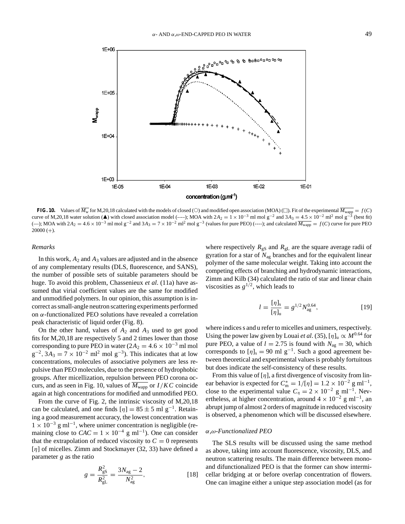**FIG. 10.** Values of  $M_w$  for M,20,18 calculated with the models of closed (O) and modified open association (MOA) ( $\square$ ). Fit of the experimental  $M_{\text{wapp}} = f(C)$ curve of M,20,18 water solution ( $\triangle$ ) with closed association model (–-–); MOA with 2*A*<sub>2</sub> = 1 × 10<sup>-3</sup> ml mol g<sup>-2</sup> and 3*A*<sub>3</sub> = 4.5 × 10<sup>-2</sup> ml<sup>2</sup> mol g<sup>-3</sup> (best fit) (—); MOA with  $2A_2 = 4.6 \times 10^{-3}$  ml mol g<sup>-2</sup> and  $3A_3 = 7 \times 10^{-2}$  ml<sup>2</sup> mol g<sup>-3</sup> (values for pure PEO) (----); and calculated  $\overline{M_{\text{wapp}}} = f(C)$  curve for pure PEO  $20000 (+)$ .

#### *Remarks*

In this work,  $A_2$  and  $A_3$  values are adjusted and in the absence of any complementary results (DLS, fluorescence, and SANS), the number of possible sets of suitable parameters should be huge. To avoid this problem, Chassenieux *et al*. (11a) have assumed that virial coefficient values are the same for modified and unmodified polymers. In our opinion, this assumption is incorrect as small-angle neutron scattering experiments performed on α-functionalized PEO solutions have revealed a correlation peak characteristic of liquid order (Fig. 8).

On the other hand, values of *A*<sup>2</sup> and *A*<sup>3</sup> used to get good fits for M,20,18 are respectively 5 and 2 times lower than those corresponding to pure PEO in water ( $2A_2 = 4.6 \times 10^{-3}$  ml mol  $g^{-2}$ ,  $3A_3 = 7 \times 10^{-2}$  ml<sup>2</sup> mol  $g^{-3}$ ). This indicates that at low concentrations, molecules of associative polymers are less repulsive than PEO molecules, due to the presence of hydrophobic groups. After micellization, repulsion between PEO corona occurs, and as seen in Fig. 10, values of  $M_{\text{wapp}}$  or  $I/KC$  coincide again at high concentrations for modified and unmodified PEO.

From the curve of Fig. 2, the intrinsic viscosity of M,20,18 can be calculated, and one finds  $\lceil \eta \rceil = 85 \pm 5$  ml g<sup>-1</sup>. Retaining a good measurement accuracy, the lowest concentration was  $1 \times 10^{-3}$  g ml<sup>-1</sup>, where unimer concentration is negligible (remaining close to  $CAC = 1 \times 10^{-4}$  g ml<sup>-1</sup>). One can consider that the extrapolation of reduced viscosity to  $C = 0$  represents  $\lceil \eta \rceil$  of micelles. Zimm and Stockmayer (32, 33) have defined a parameter *g* as the ratio

$$
g = \frac{R_{\rm gS}^2}{R_{\rm gL}^2} = \frac{3N_{\rm ag} - 2}{N_{\rm ag}^2},\tag{18}
$$

where respectively  $R_{gS}$  and  $R_{gL}$  are the square average radii of gyration for a star of *N*ag branches and for the equivalent linear polymer of the same molecular weight. Taking into account the competing effects of branching and hydrodynamic interactions, Zimm and Kilb (34) calculated the ratio of star and linear chain viscosities as  $g^{1/2}$ , which leads to

$$
l = \frac{[\eta]_s}{[\eta]_u} = g^{1/2} N_{ag}^{0.64},
$$
 [19]

where indices s and u refer to micelles and unimers, respectively. Using the power law given by Louai *et al.* (35),  $[\eta]_u \propto M^{0.64}$  for pure PEO, a value of  $l = 2.75$  is found with  $N_{\text{av}} = 30$ , which corresponds to  $[\eta]_s = 90$  ml g<sup>-1</sup>. Such a good agreement between theoretical and experimental values is probably fortuitous but does indicate the self-consistency of these results.

From this value of  $[\eta]$ , a first divergence of viscosity from linear behavior is expected for  $C_m^* = 1/[\eta] = 1.2 \times 10^{-2}$  g ml<sup>-1</sup>, close to the experimental value  $C<sub>n</sub> = 2 \times 10^{-2}$  g ml<sup>-1</sup>. Nevertheless, at higher concentration, around  $4 \times 10^{-2}$  g ml<sup>-1</sup>, an abrupt jump of almost 2 orders of magnitude in reduced viscosity is observed, a phenomenon which will be discussed elsewhere.

## α*,*ω*-Functionalized PEO*

The SLS results will be discussed using the same method as above, taking into account fluorescence, viscosity, DLS, and neutron scattering results. The main difference between monoand difunctionalized PEO is that the former can show intermicellar bridging at or before overlap concentration of flowers. One can imagine either a unique step association model (as for

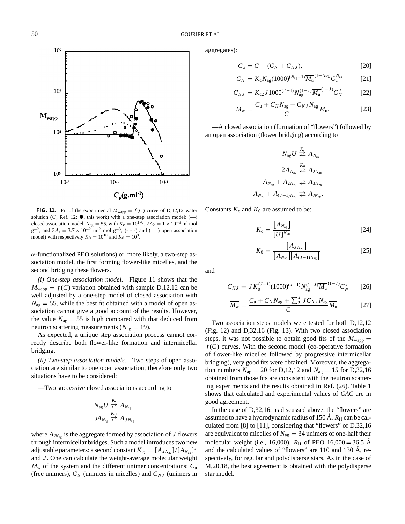

**FIG. 11.** Fit of the experimental  $\overline{M_{\text{wapp}}} = f(C)$  curve of D,12,12 water solution ( $\circ$ , Ref. 12;  $\bullet$ , this work) with a one-step association model: (--) closed association model,  $N_{\text{ag}} = 55$ , with  $K_{\text{c}} = 10^{170}$ ,  $2A_2 = 1 \times 10^{-3}$  ml mol  $g^{-2}$ , and  $3A_3 = 3.7 \times 10^{-2}$  ml<sup>2</sup> mol  $g^{-3}$ ; (- - -) and (- -) open association model) with respectively  $K_0 = 10^{10}$  and  $K_0 = 10^9$ .

 $\alpha$ -functionalized PEO solutions) or, more likely, a two-step association model, the first forming flower-like micelles, and the second bridging these flowers.

*(i) One-step association model.* Figure 11 shows that the  $M_{\text{wapp}} = f(C)$  variation obtained with sample D,12,12 can be well adjusted by a one-step model of closed association with  $N_{\text{ag}} = 55$ , while the best fit obtained with a model of open association cannot give a good account of the results. However, the value  $N_{\text{ag}} = 55$  is high compared with that deduced from neutron scattering measurements ( $N_{\text{ag}} = 19$ ).

As expected, a unique step association process cannot correctly describe both flower-like formation and intermicellar bridging.

*(ii) Two-step association models.* Two steps of open association are similar to one open association; therefore only two situations have to be considered:

—Two successive closed associations according to

$$
N_{\text{ag}}U \overset{K_{\text{c}}}{\Leftrightarrow} A_{N_{\text{ag}}}
$$

$$
J A_{N_{\text{ag}}} \overset{K_{\text{c2}}}{\Leftrightarrow} A_{J N_{\text{ag}}}
$$

where  $A_{JN_{\text{av}}}$  is the aggregate formed by association of *J* flowers through intermicellar bridges. Such a model introduces two new adjustable parameters: a second constant  $K_{c_2} = [A_{J N_{ac}}]/[A_{N_{ac}}]^J$ and *J* . One can calculate the weight-average molecular weight  $M_{\rm w}$  of the system and the different unimer concentrations:  $C_{\rm u}$ (free unimers),  $C_N$  (unimers in micelles) and  $C_{NJ}$  (unimers in aggregates):

$$
C_{u} = C - (C_N + C_{NJ}),
$$
 [20]

$$
C_N = K_c N_{\rm ag} (1000)^{(N_{\rm ag}-1)} \overline{M_{\rm u}}^{(1-N_{\rm ag})} C_{\rm u}^{N_{\rm ag}} \tag{21}
$$

$$
C_{NJ} = K_{c2} J 1000^{(J-1)} N_{\text{ag}}^{(1-J)} \overline{M}_{\text{u}}^{(1-J)} C_N^J \tag{22}
$$

$$
\overline{M_{\rm w}} = \frac{C_{\rm u} + C_N N_{\rm ag} + C_{NJ} N_{\rm ag}}{C} \overline{M_{\rm u}}.
$$
\n(23)

—A closed association (formation of "flowers") followed by an open association (flower bridging) according to

$$
N_{\text{ag}}U \stackrel{K_{\text{c}}}{\Leftrightarrow} A_{N_{\text{ag}}}
$$

$$
2A_{N_{\text{ag}}} \stackrel{K_{0}}{\Leftrightarrow} A_{2N_{\text{ag}}}
$$

$$
A_{N_{\text{ag}}} + A_{2N_{\text{ag}}} \stackrel{K_{0}}{\Leftrightarrow} A_{3N_{\text{ag}}}
$$

$$
A_{N_{\text{ag}}} + A_{(J-1)N_{\text{ag}}} \stackrel{K_{0}}{\Leftrightarrow} A_{JN_{\text{ag}}}
$$

Constants  $K_c$  and  $K_0$  are assumed to be:

$$
K_{\rm c} = \frac{\left[A_{N_{\rm ag}}\right]}{\left[U\right]^{N_{\rm ag}}}
$$

$$
K_0 = \frac{[A_{J N_{\rm ag}}]}{[A_{N_{\rm ag}}][A_{(J-1)N_{\rm ag}}]}
$$
 [25]

and

$$
C_{NJ} = JK_0^{(J-1)} (1000)^{(J-1)} N_{\text{ag}}^{(1-J)} \overline{M}_{\text{u}}^{(1-J)} C_N^J \qquad [26]
$$

$$
\overline{M_{\rm w}} = \frac{C_{\rm u} + C_N N_{\rm ag} + \sum_2^J J C_{N J} N_{\rm ag}}{C} \overline{M_{\rm u}}
$$
 [27]

Two association steps models were tested for both D,12,12 (Fig. 12) and D,32,16 (Fig. 13). With two closed association steps, it was not possible to obtain good fits of the  $M_{\text{wapp}} =$  $f(C)$  curves. With the second model (co-operative formation of flower-like micelles followed by progressive intermicellar bridging), very good fits were obtained. Moreover, the aggregation numbers  $N_{\text{ag}} = 20$  for D,12,12 and  $N_{\text{ag}} = 15$  for D,32,16 obtained from those fits are consistent with the neutron scattering experiments and the results obtained in Ref. (26). Table 1 shows that calculated and experimental values of *CAC* are in good agreement.

In the case of D,32,16, as discussed above, the "flowers" are assumed to have a hydrodynamic radius of 150 Å.  $R_{\rm H}$  can be calculated from [8] to [11], considering that "flowers" of D,32,16 are equivalent to micelles of  $N_{\text{ag}} = 34$  unimers of one-half their molecular weight (i.e., 16,000).  $R_{\text{H}}$  of PEO 16,000 = 36.5 Å and the calculated values of "flowers" are  $110$  and  $130$  Å, respectively, for regular and polydisperse stars. As in the case of M,20,18, the best agreement is obtained with the polydisperse star model.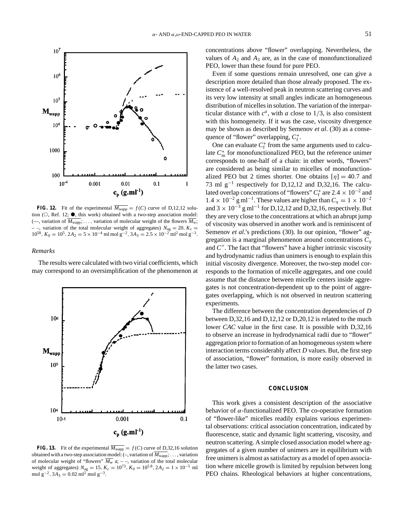

**FIG. 12.** Fit of the experimental  $\overline{M_{\text{wapp}}} = f(C)$  curve of D,12,12 solution  $(O, Ref. 12; \bullet)$ , this work) obtained with a two-step association model: ( $\rightarrow$ , variation of  $\overline{M_{wapp}}$ ; ..., variation of molecular weight of the flowers  $\overline{M_w}$ ; – –, variation of the total molecular weight of aggregates)  $N_{\text{ag}} = 20$ ,  $K_c =$  $10^{58}$ ,  $K_0 = 10^5$ ,  $2A_2 = 5 \times 10^{-4}$  ml mol g<sup>-2</sup>,  $3A_3 = 2.5 \times 10^{-2}$  ml<sup>2</sup> mol g<sup>-3</sup>.

## *Remarks*

The results were calculated with two virial coefficients, which may correspond to an oversimplification of the phenomenon at



**FIG. 13.** Fit of the experimental  $\overline{M_{\text{wapp}}} = f(C)$  curve of D,32,16 solution obtained with a two-step association model: (–, variation of *M*wapp; ... , variation of molecular weight of "flowers"  $M_w$  a;  $-$ , variation of the total molecular weight of aggregates)  $N_{\text{ag}} = 15$ ,  $K_c = 10^{73}$ ,  $K_0 = 10^{5.8}$ ,  $2A_2 = 1 \times 10^{-5}$  ml mol g<sup>-2</sup>,  $3A_3 = 0.02$  ml<sup>2</sup> mol g<sup>-3</sup>.

concentrations above "flower" overlapping. Nevertheless, the values of  $A_2$  and  $A_3$  are, as in the case of monofunctionalized PEO, lower than these found for pure PEO.

Even if some questions remain unresolved, one can give a description more detailed than those already proposed. The existence of a well-resolved peak in neutron scattering curves and its very low intensity at small angles indicate an homogeneous distribution of micelles in solution. The variation of the interparticular distance with  $c^a$ , with *a* close to  $1/3$ , is also consistent with this homogeneity. If it was the case, viscosity divergence may be shown as described by Semenov *et al*. (30) as a consequence of "flower" overlapping,  $C_f^*$ .

One can evaluate  $C_f^*$  from the same arguments used to calculate  $C_m^*$  for monofunctionalized PEO, but the reference unimer corresponds to one-half of a chain: in other words, "flowers" are considered as being similar to micelles of monofunctionalized PEO but 2 times shorter. One obtains  $[\eta] = 40.7$  and 73 ml  $g^{-1}$  respectively for D,12,12 and D,32,16. The calculated overlap concentrations of "flowers"  $C_f^*$  are 2.4 × 10<sup>-2</sup> and  $1.4 \times 10^{-2}$  g ml<sup>-1</sup>. These values are higher than  $C<sub>n</sub> = 1 \times 10^{-2}$ and  $3 \times 10^{-3}$  g ml<sup>-1</sup> for D,12,12 and D,32,16, respectively. But they are very close to the concentrations at which an abrupt jump of viscosity was observed in another work and is reminiscent of Semenov *et al.*'s predictions (30). In our opinion, "flower" aggregation is a marginal phenomenon around concentrations *C*<sup>η</sup> and *C*<sup> $\prime\prime$ </sup>. The fact that "flowers" have a higher intrinsic viscosity and hydrodynamic radius than unimers is enough to explain this initial viscosity divergence. Moreover, the two-step model corresponds to the formation of micelle aggregates, and one could assume that the distance between micelle centers inside aggregates is not concentration-dependent up to the point of aggregates overlapping, which is not observed in neutron scattering experiments.

The difference between the concentration dependencies of *D* between D,32,16 and D,12,12 or D,20,12 is related to the much lower *CAC* value in the first case. It is possible with D,32,16 to observe an increase in hydrodynamical radii due to "flower" aggregation prior to formation of an homogeneous system where interaction terms considerably affect *D* values. But, the first step of association, "flower" formation, is more easily observed in the latter two cases.

# **CONCLUSION**

This work gives a consistent description of the associative behavior of  $\alpha$ -functionalized PEO. The co-operative formation of "flower-like" micelles readily explains various experimental observations: critical association concentration, indicated by fluorescence, static and dynamic light scattering, viscosity, and neutron scattering. A simple closed association model where aggregates of a given number of unimers are in equilibrium with free unimers is almost as satisfactory as a model of open association where micelle growth is limited by repulsion between long PEO chains. Rheological behaviors at higher concentrations,